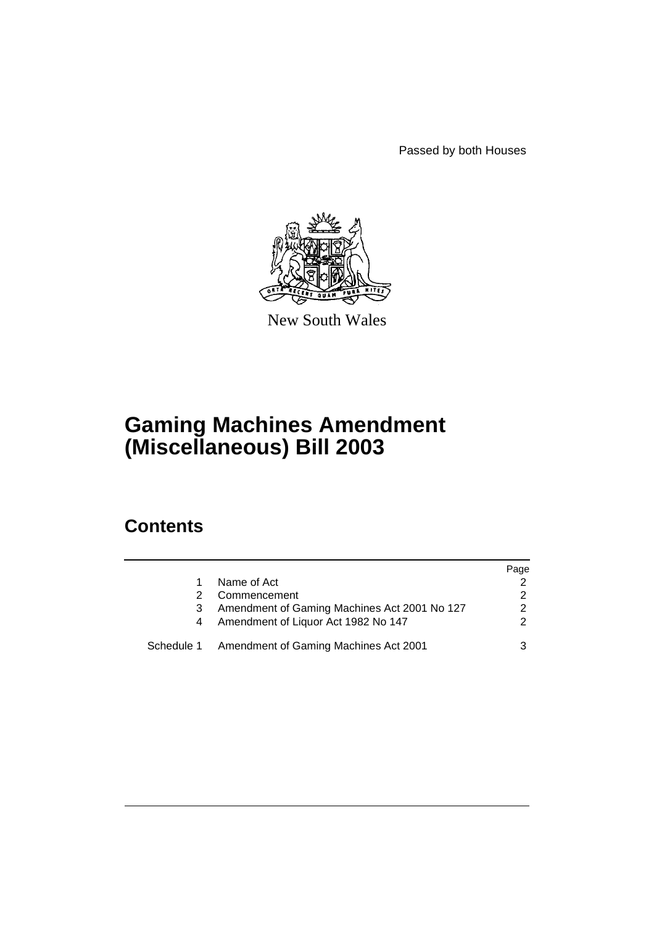Passed by both Houses



New South Wales

# **Gaming Machines Amendment (Miscellaneous) Bill 2003**

## **Contents**

|            |                                              | Page |
|------------|----------------------------------------------|------|
|            | Name of Act                                  |      |
|            | Commencement                                 |      |
| 3          | Amendment of Gaming Machines Act 2001 No 127 | っ    |
| 4          | Amendment of Liquor Act 1982 No 147          | າ    |
| Schedule 1 | Amendment of Gaming Machines Act 2001        |      |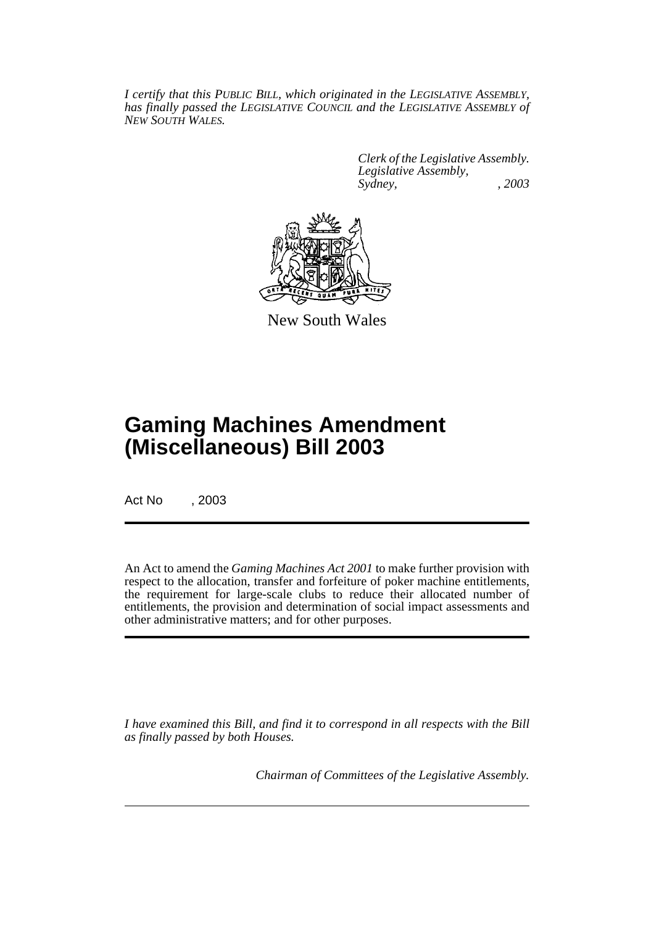*I certify that this PUBLIC BILL, which originated in the LEGISLATIVE ASSEMBLY, has finally passed the LEGISLATIVE COUNCIL and the LEGISLATIVE ASSEMBLY of NEW SOUTH WALES.*

> *Clerk of the Legislative Assembly. Legislative Assembly, Sydney, , 2003*



New South Wales

# **Gaming Machines Amendment (Miscellaneous) Bill 2003**

Act No , 2003

An Act to amend the *Gaming Machines Act 2001* to make further provision with respect to the allocation, transfer and forfeiture of poker machine entitlements, the requirement for large-scale clubs to reduce their allocated number of entitlements, the provision and determination of social impact assessments and other administrative matters; and for other purposes.

*I have examined this Bill, and find it to correspond in all respects with the Bill as finally passed by both Houses.*

*Chairman of Committees of the Legislative Assembly.*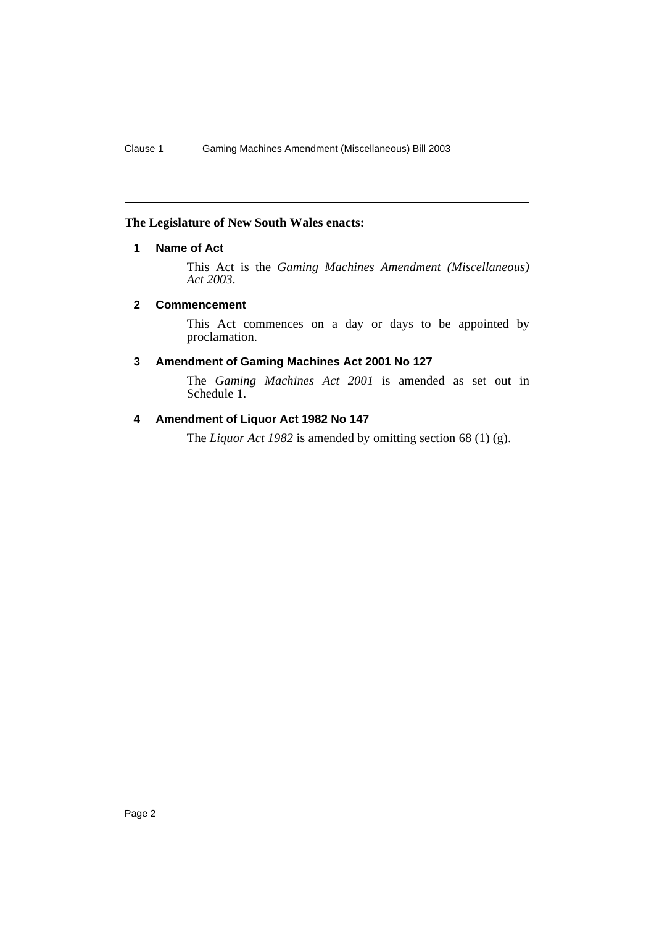### **The Legislature of New South Wales enacts:**

#### **1 Name of Act**

This Act is the *Gaming Machines Amendment (Miscellaneous) Act 2003*.

#### **2 Commencement**

This Act commences on a day or days to be appointed by proclamation.

#### **3 Amendment of Gaming Machines Act 2001 No 127**

The *Gaming Machines Act 2001* is amended as set out in Schedule 1.

#### **4 Amendment of Liquor Act 1982 No 147**

The *Liquor Act 1982* is amended by omitting section 68 (1) (g).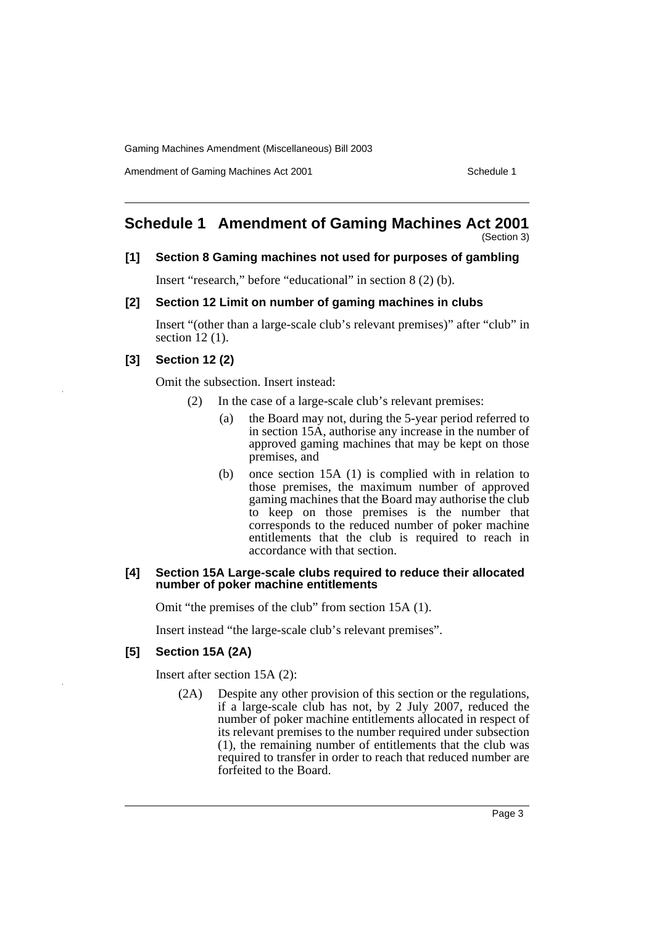Amendment of Gaming Machines Act 2001 Schedule 1

### **Schedule 1 Amendment of Gaming Machines Act 2001**

(Section 3)

#### **[1] Section 8 Gaming machines not used for purposes of gambling**

Insert "research," before "educational" in section 8 (2) (b).

#### **[2] Section 12 Limit on number of gaming machines in clubs**

Insert "(other than a large-scale club's relevant premises)" after "club" in section 12 (1).

#### **[3] Section 12 (2)**

Omit the subsection. Insert instead:

- (2) In the case of a large-scale club's relevant premises:
	- (a) the Board may not, during the 5-year period referred to in section 15A, authorise any increase in the number of approved gaming machines that may be kept on those premises, and
	- (b) once section 15A (1) is complied with in relation to those premises, the maximum number of approved gaming machines that the Board may authorise the club to keep on those premises is the number that corresponds to the reduced number of poker machine entitlements that the club is required to reach in accordance with that section.

#### **[4] Section 15A Large-scale clubs required to reduce their allocated number of poker machine entitlements**

Omit "the premises of the club" from section 15A (1).

Insert instead "the large-scale club's relevant premises".

#### **[5] Section 15A (2A)**

Insert after section 15A (2):

(2A) Despite any other provision of this section or the regulations, if a large-scale club has not, by 2 July 2007, reduced the number of poker machine entitlements allocated in respect of its relevant premises to the number required under subsection (1), the remaining number of entitlements that the club was required to transfer in order to reach that reduced number are forfeited to the Board.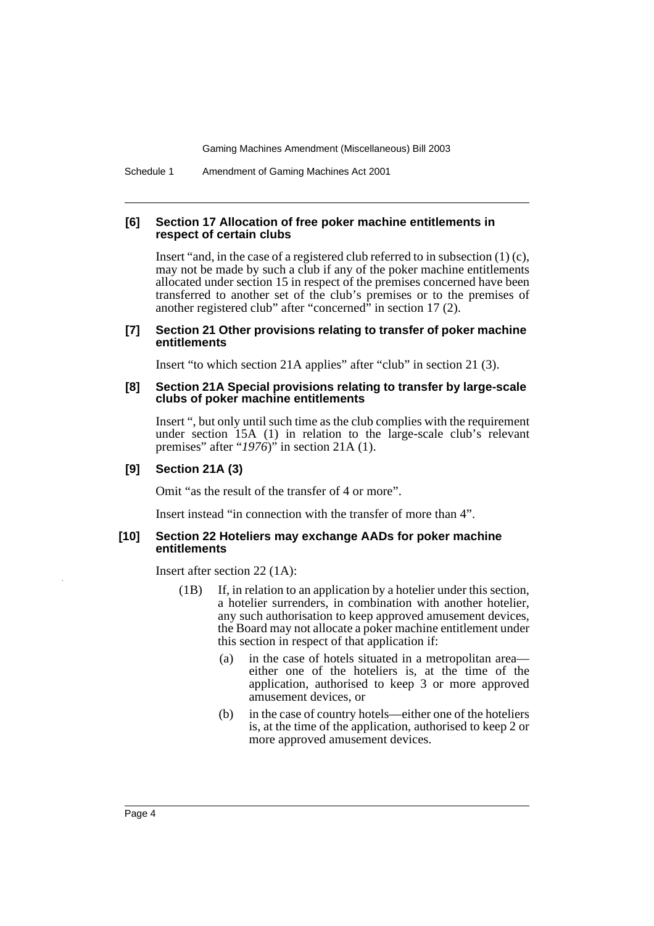Schedule 1 Amendment of Gaming Machines Act 2001

#### **[6] Section 17 Allocation of free poker machine entitlements in respect of certain clubs**

Insert "and, in the case of a registered club referred to in subsection (1) (c), may not be made by such a club if any of the poker machine entitlements allocated under section 15 in respect of the premises concerned have been transferred to another set of the club's premises or to the premises of another registered club" after "concerned" in section 17 (2).

#### **[7] Section 21 Other provisions relating to transfer of poker machine entitlements**

Insert "to which section 21A applies" after "club" in section 21 (3).

#### **[8] Section 21A Special provisions relating to transfer by large-scale clubs of poker machine entitlements**

Insert ", but only until such time as the club complies with the requirement under section 15A (1) in relation to the large-scale club's relevant premises" after "*1976*)" in section 21A (1).

#### **[9] Section 21A (3)**

Omit "as the result of the transfer of 4 or more".

Insert instead "in connection with the transfer of more than 4".

#### **[10] Section 22 Hoteliers may exchange AADs for poker machine entitlements**

Insert after section 22 (1A):

- (1B) If, in relation to an application by a hotelier under this section, a hotelier surrenders, in combination with another hotelier, any such authorisation to keep approved amusement devices, the Board may not allocate a poker machine entitlement under this section in respect of that application if:
	- (a) in the case of hotels situated in a metropolitan area either one of the hoteliers is, at the time of the application, authorised to keep 3 or more approved amusement devices, or
	- (b) in the case of country hotels—either one of the hoteliers is, at the time of the application, authorised to keep 2 or more approved amusement devices.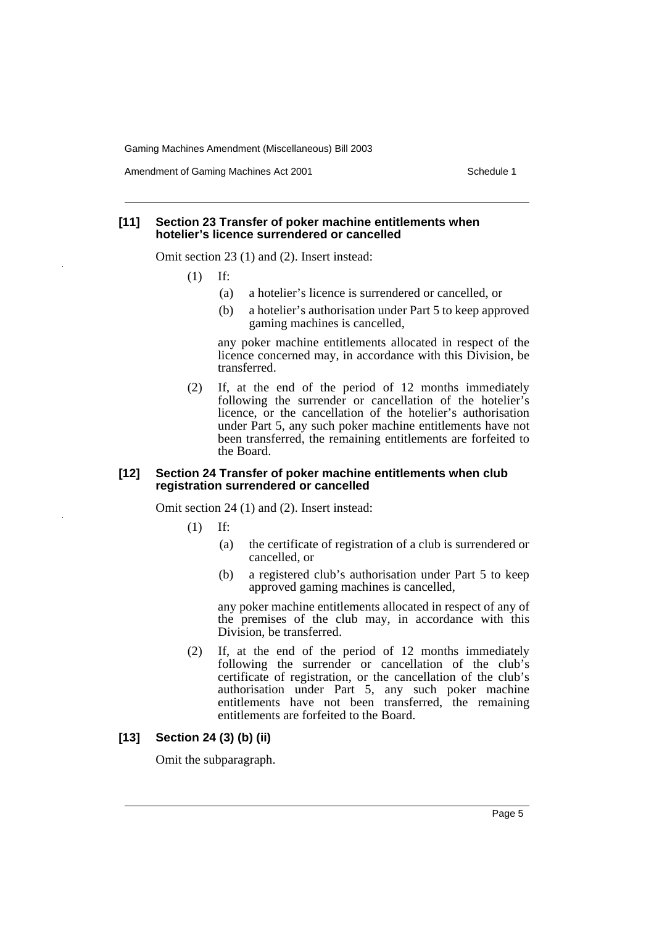Amendment of Gaming Machines Act 2001 Schedule 1

#### **[11] Section 23 Transfer of poker machine entitlements when hotelier's licence surrendered or cancelled**

Omit section 23 (1) and (2). Insert instead:

- (1) If:
	- (a) a hotelier's licence is surrendered or cancelled, or
	- (b) a hotelier's authorisation under Part 5 to keep approved gaming machines is cancelled,

any poker machine entitlements allocated in respect of the licence concerned may, in accordance with this Division, be transferred.

(2) If, at the end of the period of 12 months immediately following the surrender or cancellation of the hotelier's licence, or the cancellation of the hotelier's authorisation under Part 5, any such poker machine entitlements have not been transferred, the remaining entitlements are forfeited to the Board.

#### **[12] Section 24 Transfer of poker machine entitlements when club registration surrendered or cancelled**

Omit section 24 (1) and (2). Insert instead:

- (1) If:
	- (a) the certificate of registration of a club is surrendered or cancelled, or
	- (b) a registered club's authorisation under Part 5 to keep approved gaming machines is cancelled,

any poker machine entitlements allocated in respect of any of the premises of the club may, in accordance with this Division, be transferred.

(2) If, at the end of the period of 12 months immediately following the surrender or cancellation of the club's certificate of registration, or the cancellation of the club's authorisation under Part 5, any such poker machine entitlements have not been transferred, the remaining entitlements are forfeited to the Board.

#### **[13] Section 24 (3) (b) (ii)**

Omit the subparagraph.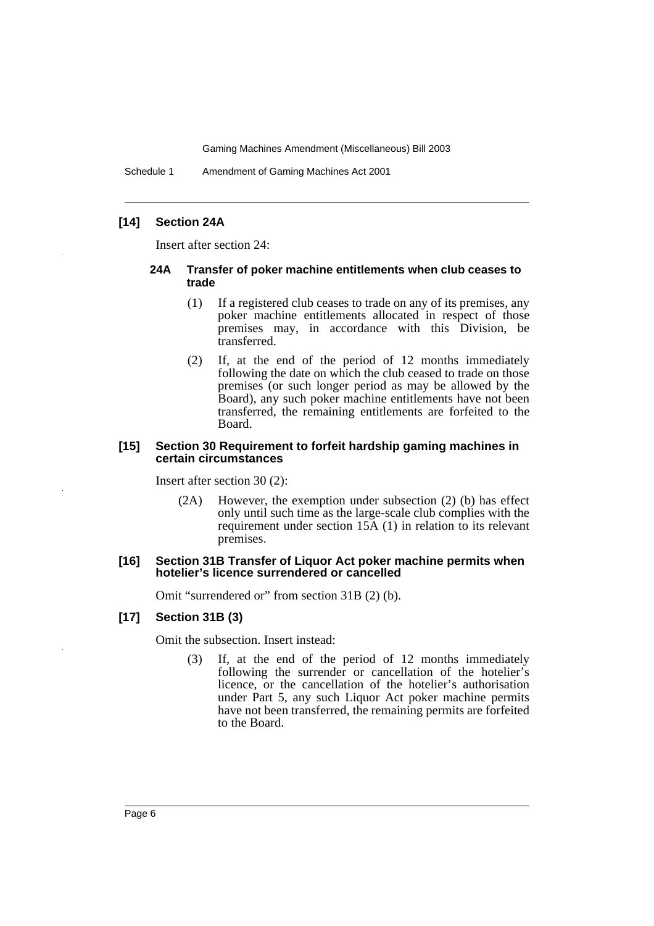Schedule 1 Amendment of Gaming Machines Act 2001

#### **[14] Section 24A**

Insert after section 24:

#### **24A Transfer of poker machine entitlements when club ceases to trade**

- (1) If a registered club ceases to trade on any of its premises, any poker machine entitlements allocated in respect of those premises may, in accordance with this Division, be transferred.
- (2) If, at the end of the period of 12 months immediately following the date on which the club ceased to trade on those premises (or such longer period as may be allowed by the Board), any such poker machine entitlements have not been transferred, the remaining entitlements are forfeited to the Board.

#### **[15] Section 30 Requirement to forfeit hardship gaming machines in certain circumstances**

Insert after section 30 (2):

(2A) However, the exemption under subsection (2) (b) has effect only until such time as the large-scale club complies with the requirement under section 15A (1) in relation to its relevant premises.

#### **[16] Section 31B Transfer of Liquor Act poker machine permits when hotelier's licence surrendered or cancelled**

Omit "surrendered or" from section 31B (2) (b).

#### **[17] Section 31B (3)**

Omit the subsection. Insert instead:

(3) If, at the end of the period of 12 months immediately following the surrender or cancellation of the hotelier's licence, or the cancellation of the hotelier's authorisation under Part 5, any such Liquor Act poker machine permits have not been transferred, the remaining permits are forfeited to the Board.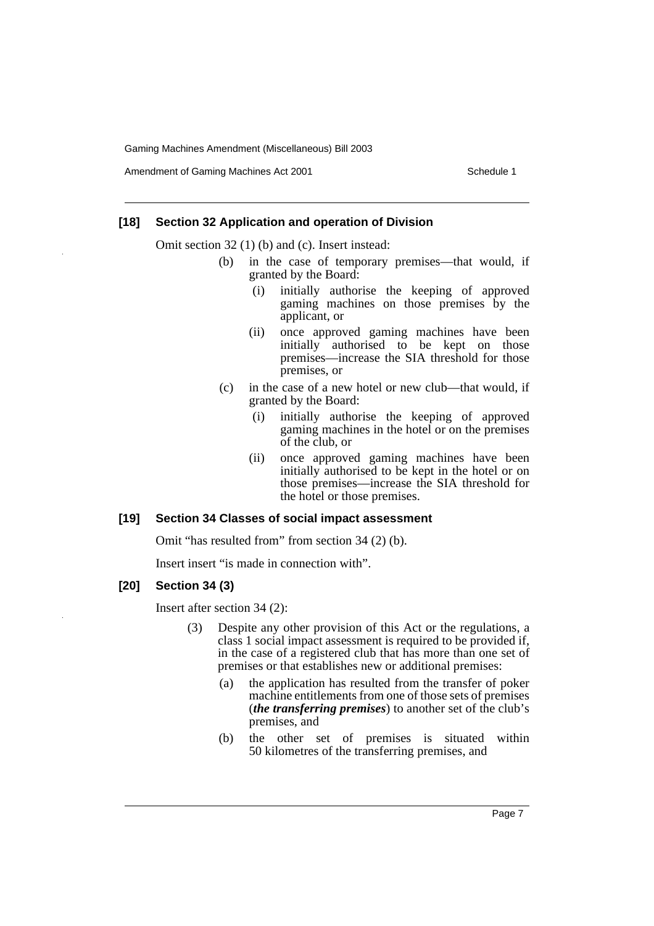Amendment of Gaming Machines Act 2001 Schedule 1

#### **[18] Section 32 Application and operation of Division**

Omit section 32 (1) (b) and (c). Insert instead:

- (b) in the case of temporary premises—that would, if granted by the Board:
	- (i) initially authorise the keeping of approved gaming machines on those premises by the applicant, or
	- (ii) once approved gaming machines have been initially authorised to be kept on those premises—increase the SIA threshold for those premises, or
- (c) in the case of a new hotel or new club—that would, if granted by the Board:
	- (i) initially authorise the keeping of approved gaming machines in the hotel or on the premises of the club, or
	- (ii) once approved gaming machines have been initially authorised to be kept in the hotel or on those premises—increase the SIA threshold for the hotel or those premises.

#### **[19] Section 34 Classes of social impact assessment**

Omit "has resulted from" from section 34 (2) (b).

Insert insert "is made in connection with".

#### **[20] Section 34 (3)**

Insert after section 34 (2):

- (3) Despite any other provision of this Act or the regulations, a class 1 social impact assessment is required to be provided if, in the case of a registered club that has more than one set of premises or that establishes new or additional premises:
	- (a) the application has resulted from the transfer of poker machine entitlements from one of those sets of premises (*the transferring premises*) to another set of the club's premises, and
	- (b) the other set of premises is situated within 50 kilometres of the transferring premises, and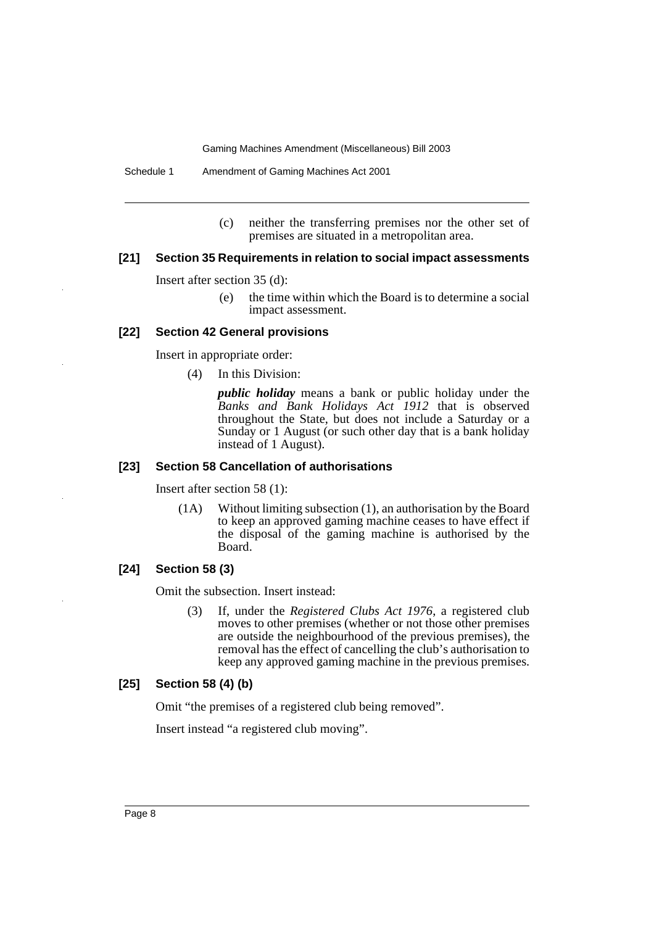(c) neither the transferring premises nor the other set of premises are situated in a metropolitan area.

#### **[21] Section 35 Requirements in relation to social impact assessments**

Insert after section 35 (d):

(e) the time within which the Board is to determine a social impact assessment.

#### **[22] Section 42 General provisions**

Insert in appropriate order:

(4) In this Division:

*public holiday* means a bank or public holiday under the *Banks and Bank Holidays Act 1912* that is observed throughout the State, but does not include a Saturday or a Sunday or 1 August (or such other day that is a bank holiday instead of 1 August).

#### **[23] Section 58 Cancellation of authorisations**

Insert after section 58 (1):

(1A) Without limiting subsection (1), an authorisation by the Board to keep an approved gaming machine ceases to have effect if the disposal of the gaming machine is authorised by the Board.

#### **[24] Section 58 (3)**

Omit the subsection. Insert instead:

(3) If, under the *Registered Clubs Act 1976*, a registered club moves to other premises (whether or not those other premises are outside the neighbourhood of the previous premises), the removal has the effect of cancelling the club's authorisation to keep any approved gaming machine in the previous premises.

#### **[25] Section 58 (4) (b)**

Omit "the premises of a registered club being removed".

Insert instead "a registered club moving".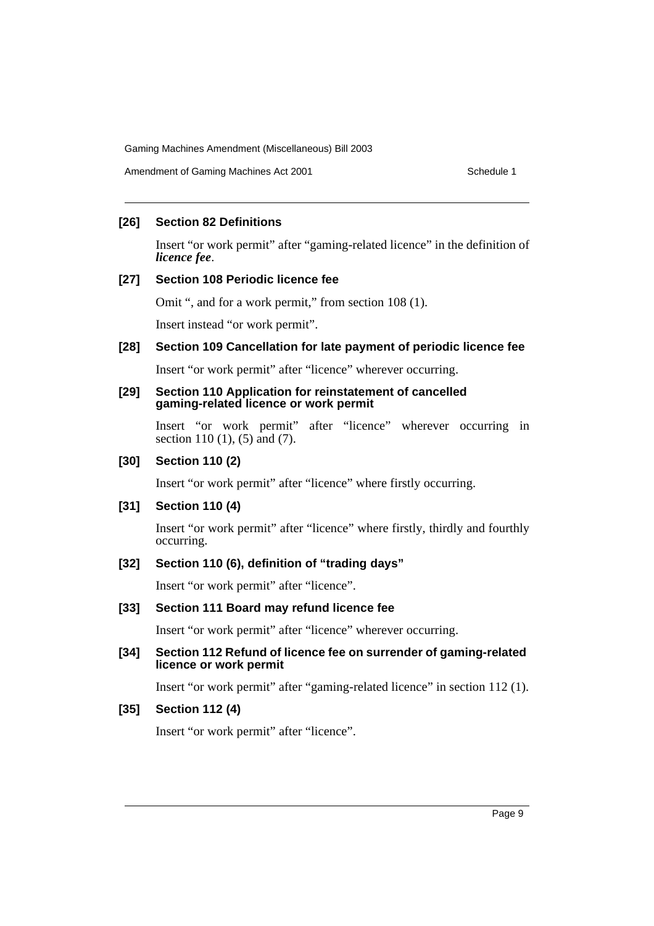#### **[26] Section 82 Definitions**

Insert "or work permit" after "gaming-related licence" in the definition of *licence fee*.

#### **[27] Section 108 Periodic licence fee**

Omit ", and for a work permit," from section 108 (1).

Insert instead "or work permit".

#### **[28] Section 109 Cancellation for late payment of periodic licence fee**

Insert "or work permit" after "licence" wherever occurring.

#### **[29] Section 110 Application for reinstatement of cancelled gaming-related licence or work permit**

Insert "or work permit" after "licence" wherever occurring in section 110 (1), (5) and (7).

#### **[30] Section 110 (2)**

Insert "or work permit" after "licence" where firstly occurring.

#### **[31] Section 110 (4)**

Insert "or work permit" after "licence" where firstly, thirdly and fourthly occurring.

#### **[32] Section 110 (6), definition of "trading days"**

Insert "or work permit" after "licence".

#### **[33] Section 111 Board may refund licence fee**

Insert "or work permit" after "licence" wherever occurring.

#### **[34] Section 112 Refund of licence fee on surrender of gaming-related licence or work permit**

Insert "or work permit" after "gaming-related licence" in section 112 (1).

#### **[35] Section 112 (4)**

Insert "or work permit" after "licence".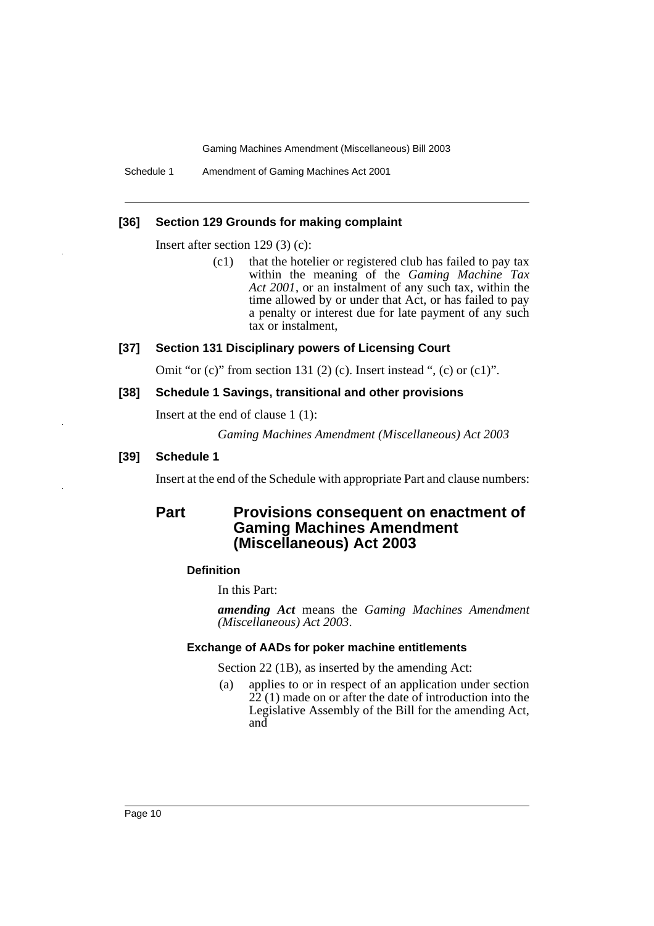Schedule 1 Amendment of Gaming Machines Act 2001

#### **[36] Section 129 Grounds for making complaint**

Insert after section 129 (3) (c):

(c1) that the hotelier or registered club has failed to pay tax within the meaning of the *Gaming Machine Tax Act 2001*, or an instalment of any such tax, within the time allowed by or under that Act, or has failed to pay a penalty or interest due for late payment of any such tax or instalment,

#### **[37] Section 131 Disciplinary powers of Licensing Court**

Omit "or  $(c)$ " from section 131 (2)  $(c)$ . Insert instead ",  $(c)$  or  $(c1)$ ".

#### **[38] Schedule 1 Savings, transitional and other provisions**

Insert at the end of clause 1 (1):

*Gaming Machines Amendment (Miscellaneous) Act 2003*

#### **[39] Schedule 1**

Insert at the end of the Schedule with appropriate Part and clause numbers:

### **Part Provisions consequent on enactment of Gaming Machines Amendment (Miscellaneous) Act 2003**

#### **Definition**

In this Part:

*amending Act* means the *Gaming Machines Amendment (Miscellaneous) Act 2003*.

#### **Exchange of AADs for poker machine entitlements**

Section 22 (1B), as inserted by the amending Act:

(a) applies to or in respect of an application under section  $22(1)$  made on or after the date of introduction into the Legislative Assembly of the Bill for the amending Act, and